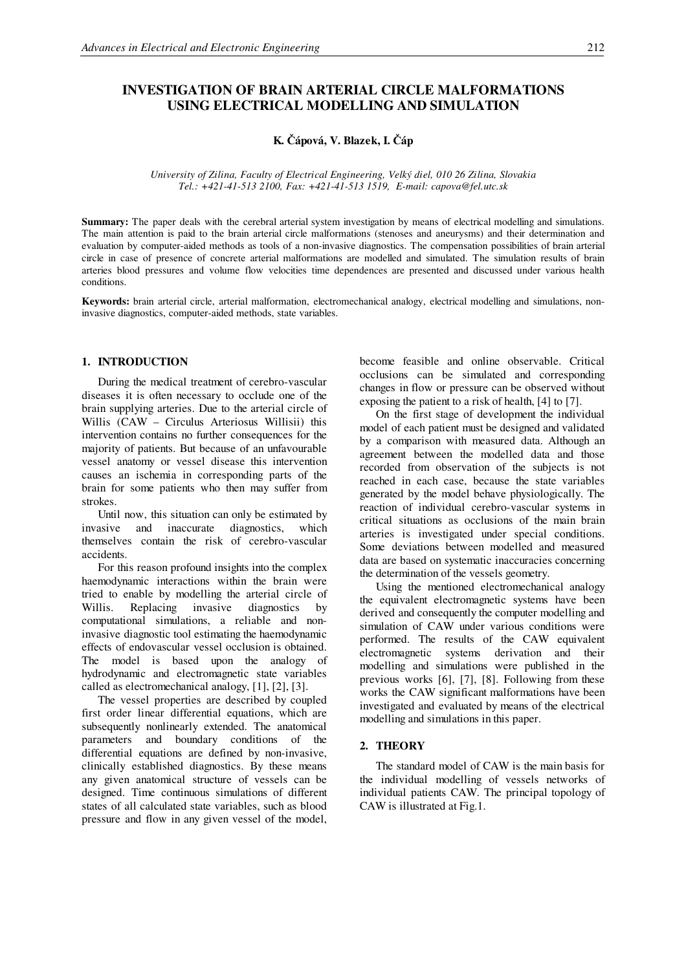# **INVESTIGATION OF BRAIN ARTERIAL CIRCLE MALFORMATIONS USING ELECTRICAL MODELLING AND SIMULATION**

**K. ápová, V. Blazek, I. áp**

*University of Zilina, Faculty of Electrical Engineering, Velký diel, 010 26 Zilina, Slovakia Tel.: +421-41-513 2100, Fax: +421-41-513 1519, E-mail: capova@fel.utc.sk*

**Summary:** The paper deals with the cerebral arterial system investigation by means of electrical modelling and simulations. The main attention is paid to the brain arterial circle malformations (stenoses and aneurysms) and their determination and evaluation by computer-aided methods as tools of a non-invasive diagnostics. The compensation possibilities of brain arterial circle in case of presence of concrete arterial malformations are modelled and simulated. The simulation results of brain arteries blood pressures and volume flow velocities time dependences are presented and discussed under various health conditions.

**Keywords:** brain arterial circle, arterial malformation, electromechanical analogy, electrical modelling and simulations, noninvasive diagnostics, computer-aided methods, state variables.

#### **1. INTRODUCTION**

During the medical treatment of cerebro-vascular diseases it is often necessary to occlude one of the brain supplying arteries. Due to the arterial circle of Willis (CAW – Circulus Arteriosus Willisii) this intervention contains no further consequences for the majority of patients. But because of an unfavourable vessel anatomy or vessel disease this intervention causes an ischemia in corresponding parts of the brain for some patients who then may suffer from strokes.

Until now, this situation can only be estimated by invasive and inaccurate diagnostics, which themselves contain the risk of cerebro-vascular accidents.

For this reason profound insights into the complex haemodynamic interactions within the brain were tried to enable by modelling the arterial circle of Willis. Replacing invasive diagnostics by computational simulations, a reliable and noninvasive diagnostic tool estimating the haemodynamic effects of endovascular vessel occlusion is obtained. The model is based upon the analogy of hydrodynamic and electromagnetic state variables called as electromechanical analogy, [1], [2], [3].

The vessel properties are described by coupled first order linear differential equations, which are subsequently nonlinearly extended. The anatomical parameters and boundary conditions of the differential equations are defined by non-invasive, clinically established diagnostics. By these means any given anatomical structure of vessels can be designed. Time continuous simulations of different states of all calculated state variables, such as blood pressure and flow in any given vessel of the model,

become feasible and online observable. Critical occlusions can be simulated and corresponding changes in flow or pressure can be observed without exposing the patient to a risk of health, [4] to [7].

On the first stage of development the individual model of each patient must be designed and validated by a comparison with measured data. Although an agreement between the modelled data and those recorded from observation of the subjects is not reached in each case, because the state variables generated by the model behave physiologically. The reaction of individual cerebro-vascular systems in critical situations as occlusions of the main brain arteries is investigated under special conditions. Some deviations between modelled and measured data are based on systematic inaccuracies concerning the determination of the vessels geometry.

Using the mentioned electromechanical analogy the equivalent electromagnetic systems have been derived and consequently the computer modelling and simulation of CAW under various conditions were performed. The results of the CAW equivalent electromagnetic systems derivation and their modelling and simulations were published in the previous works [6], [7], [8]. Following from these works the CAW significant malformations have been investigated and evaluated by means of the electrical modelling and simulations in this paper.

### **2. THEORY**

The standard model of CAW is the main basis for the individual modelling of vessels networks of individual patients CAW. The principal topology of CAW is illustrated at Fig.1.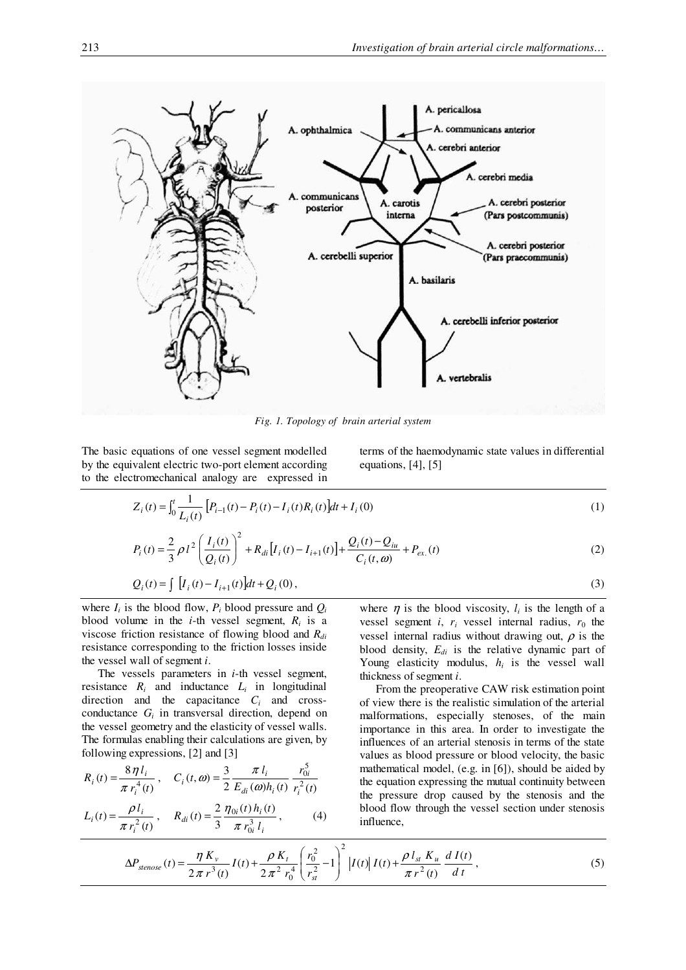

*Fig. 1. Topology of brain arterial system*

The basic equations of one vessel segment modelled by the equivalent electric two-port element according to the electromechanical analogy are expressed in terms of the haemodynamic state values in differential equations,  $[4]$ ,  $[5]$ 

$$
Z_i(t) = \int_0^t \frac{1}{L_i(t)} \left[ P_{i-1}(t) - P_i(t) - I_i(t) R_i(t) \right] dt + I_i(0)
$$
\n(1)

$$
P_i(t) = \frac{2}{3} \rho l^2 \left(\frac{I_i(t)}{Q_i(t)}\right)^2 + R_{di} \left[I_i(t) - I_{i+1}(t)\right] + \frac{Q_i(t) - Q_{iu}}{C_i(t, \omega)} + P_{ex.}(t)
$$
\n(2)

$$
Q_i(t) = \int [I_i(t) - I_{i+1}(t)]dt + Q_i(0),
$$
\n(3)

where  $I_i$  is the blood flow,  $P_i$  blood pressure and  $Q_i$ blood volume in the *i*-th vessel segment,  $R_i$  is a viscose friction resistance of flowing blood and *Rdi* resistance corresponding to the friction losses inside the vessel wall of segment *i*.

The vessels parameters in *i*-th vessel segment, resistance  $R_i$  and inductance  $L_i$  in longitudinal direction and the capacitance  $C_i$  and crossconductance  $G_i$  in transversal direction, depend on the vessel geometry and the elasticity of vessel walls. The formulas enabling their calculations are given, by following expressions, [2] and [3] 5

$$
R_i(t) = \frac{8 \eta l_i}{\pi r_i^4(t)}, \quad C_i(t, \omega) = \frac{3}{2} \frac{\pi l_i}{E_{di}(\omega)h_i(t)} \frac{r_{0i}^3}{r_i^2(t)}
$$

$$
L_i(t) = \frac{\rho l_i}{\pi r_i^2(t)}, \quad R_{di}(t) = \frac{2}{3} \frac{\eta_{0i}(t)h_i(t)}{\pi r_{0i}^3 l_i}, \quad (4)
$$

where  $\eta$  is the blood viscosity,  $l_i$  is the length of a vessel segment *i*,  $r_i$  vessel internal radius,  $r_0$  the vessel internal radius without drawing out,  $\rho$  is the blood density, *Edi* is the relative dynamic part of Young elasticity modulus, *h<sup>i</sup>* is the vessel wall thickness of segment *i*.

From the preoperative CAW risk estimation point of view there is the realistic simulation of the arterial malformations, especially stenoses, of the main importance in this area. In order to investigate the influences of an arterial stenosis in terms of the state values as blood pressure or blood velocity, the basic mathematical model, (e.g. in [6]), should be aided by the equation expressing the mutual continuity between the pressure drop caused by the stenosis and the blood flow through the vessel section under stenosis influence,

$$
\Delta P_{stenose}(t) = \frac{\eta K_v}{2\pi r^3(t)} I(t) + \frac{\rho K_t}{2\pi^2 r_0^4} \left(\frac{r_0^2}{r_{st}^2} - 1\right)^2 \left| I(t) \right| I(t) + \frac{\rho I_{st} K_u}{\pi r^2(t)} \frac{dI(t)}{dt},\tag{5}
$$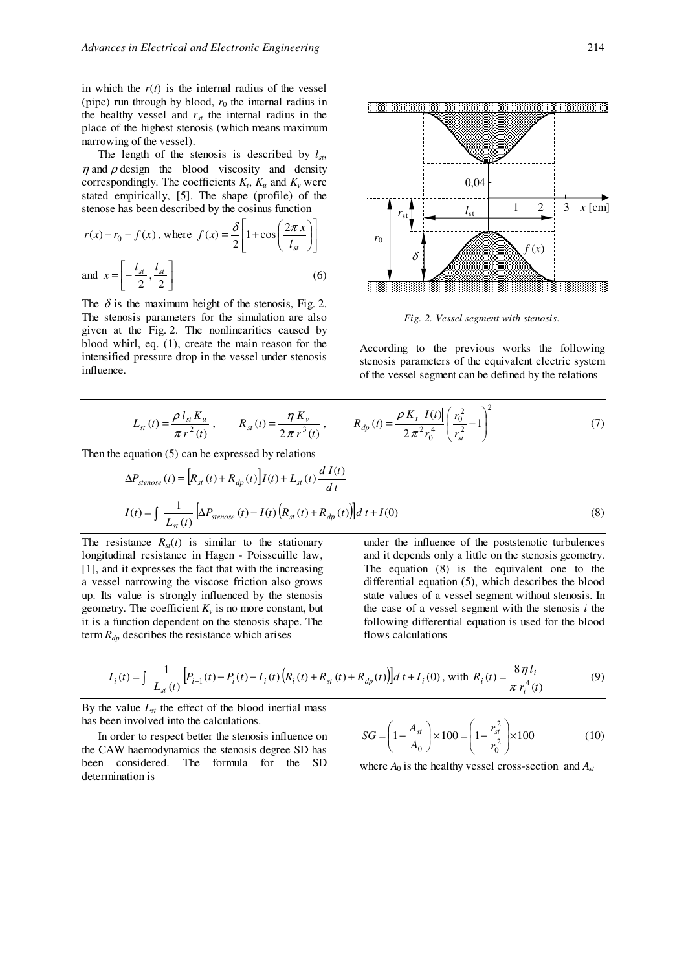in which the  $r(t)$  is the internal radius of the vessel (pipe) run through by blood,  $r_0$  the internal radius in the healthy vessel and  $r_{st}$  the internal radius in the place of the highest stenosis (which means maximum narrowing of the vessel).

The length of the stenosis is described by  $l_{st}$ ,  $\eta$  and  $\rho$  design the blood viscosity and density correspondingly. The coefficients  $K_t$ ,  $K_u$  and  $K_v$  were stated empirically, [5]. The shape (profile) of the stenose has been described by the cosinus function

$$
r(x) - r_0 - f(x), \text{ where } f(x) = \frac{\delta}{2} \left[ 1 + \cos \left( \frac{2\pi x}{l_{st}} \right) \right]
$$
  
and  $x = \left[ -\frac{l_{st}}{2}, \frac{l_{st}}{2} \right]$  (6)

The  $\delta$  is the maximum height of the stenosis, Fig. 2. The stenosis parameters for the simulation are also given at the Fig. 2. The nonlinearities caused by blood whirl, eq. (1), create the main reason for the intensified pressure drop in the vessel under stenosis influence.



*Fig. 2. Vessel segment with stenosis*.

According to the previous works the following stenosis parameters of the equivalent electric system of the vessel segment can be defined by the relations

$$
L_{st}(t) = \frac{\rho l_{st} K_u}{\pi r^2(t)}, \qquad R_{st}(t) = \frac{\eta K_v}{2 \pi r^3(t)}, \qquad R_{dp}(t) = \frac{\rho K_t |I(t)|}{2 \pi^2 r_0^4} \left(\frac{r_0^2}{r_{st}^2} - 1\right)^2 \tag{7}
$$

Then the equation (5) can be expressed by relations

$$
\Delta P_{stenose}(t) = \left[ R_{st}(t) + R_{dp}(t) \right] I(t) + L_{st}(t) \frac{dI(t)}{dt}
$$
  

$$
I(t) = \int \frac{1}{L_{st}(t)} \left[ \Delta P_{stenose}(t) - I(t) \left( R_{st}(t) + R_{dp}(t) \right) \right] dt + I(0)
$$
 (8)

The resistance  $R_{st}(t)$  is similar to the stationary longitudinal resistance in Hagen - Poisseuille law, [1], and it expresses the fact that with the increasing a vessel narrowing the viscose friction also grows up. Its value is strongly influenced by the stenosis geometry. The coefficient  $K_v$  is no more constant, but it is a function dependent on the stenosis shape. The term  $R_{dp}$  describes the resistance which arises

under the influence of the poststenotic turbulences and it depends only a little on the stenosis geometry. The equation (8) is the equivalent one to the differential equation (5), which describes the blood state values of a vessel segment without stenosis. In the case of a vessel segment with the stenosis *i* the following differential equation is used for the blood flows calculations

$$
I_i(t) = \int \frac{1}{L_{st}(t)} \Big[ P_{i-1}(t) - P_i(t) - I_i(t) \Big( R_i(t) + R_{st}(t) + R_{dp}(t) \Big) \Big] dt + I_i(0), \text{ with } R_i(t) = \frac{8 \eta l_i}{\pi r_i^4(t)}
$$
(9)

By the value  $L_{st}$  the effect of the blood inertial mass has been involved into the calculations.

In order to respect better the stenosis influence on the CAW haemodynamics the stenosis degree SD has been considered. The formula for the SD determination is

$$
SG = \left(1 - \frac{A_{st}}{A_0}\right) \times 100 = \left(1 - \frac{r_{st}^2}{r_0^2}\right) \times 100\tag{10}
$$

where  $A_0$  is the healthy vessel cross-section and  $A_{st}$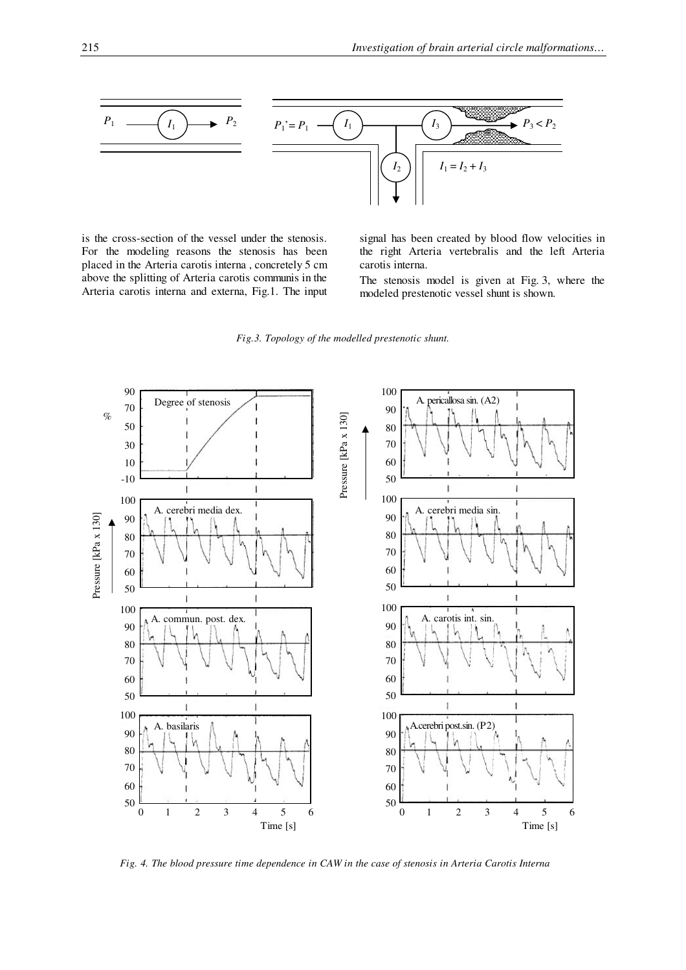

is the cross-section of the vessel under the stenosis. For the modeling reasons the stenosis has been placed in the Arteria carotis interna , concretely 5 cm above the splitting of Arteria carotis communis in the Arteria carotis interna and externa, Fig.1. The input

signal has been created by blood flow velocities in the right Arteria vertebralis and the left Arteria carotis interna.

The stenosis model is given at Fig. 3, where the modeled prestenotic vessel shunt is shown.

*Fig.3. Topology of the modelled prestenotic shunt.*



Fig. 4. The blood pressure time dependence in CAW in the case of stenosis in Arteria Carotis Interna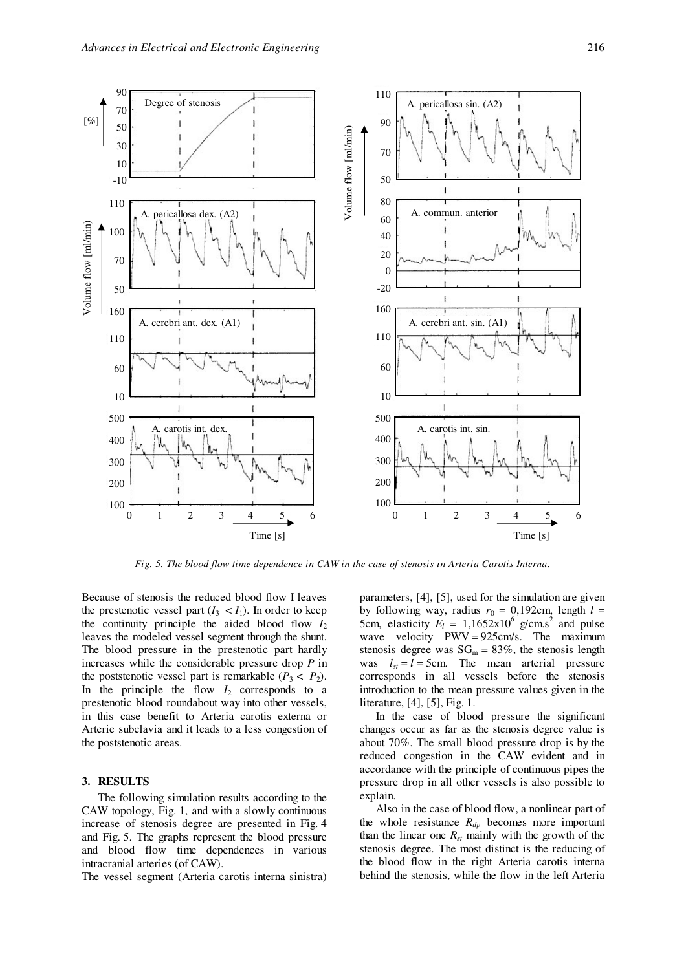

*Fig. 5. The blood flow time dependence in CAW in the case of stenosis in Arteria Carotis Interna*.

Because of stenosis the reduced blood flow I leaves the prestenotic vessel part  $(I_3 < I_1)$ . In order to keep the continuity principle the aided blood flow  $I_2$ leaves the modeled vessel segment through the shunt. The blood pressure in the prestenotic part hardly increases while the considerable pressure drop *P* in the poststenotic vessel part is remarkable  $(P_3 < P_2)$ . In the principle the flow  $I_2$  corresponds to a prestenotic blood roundabout way into other vessels, in this case benefit to Arteria carotis externa or Arterie subclavia and it leads to a less congestion of the poststenotic areas.

#### **3. RESULTS**

The following simulation results according to the CAW topology, Fig. 1, and with a slowly continuous increase of stenosis degree are presented in Fig. 4 and Fig. 5. The graphs represent the blood pressure and blood flow time dependences in various intracranial arteries (of CAW).

The vessel segment (Arteria carotis interna sinistra)

parameters, [4], [5], used for the simulation are given by following way, radius  $r_0 = 0.192$ cm, length  $l =$ 5cm, elasticity  $E_l = 1,1652 \times 10^6$  g/cm.s<sup>2</sup> and pulse wave velocity PWV = 925cm/s. The maximum stenosis degree was  $SG_m = 83\%$ , the stenosis length was  $l_{st} = l = 5$ cm. The mean arterial pressure corresponds in all vessels before the stenosis introduction to the mean pressure values given in the literature, [4], [5], Fig. 1.

In the case of blood pressure the significant changes occur as far as the stenosis degree value is about 70%. The small blood pressure drop is by the reduced congestion in the CAW evident and in accordance with the principle of continuous pipes the pressure drop in all other vessels is also possible to explain.

Also in the case of blood flow, a nonlinear part of the whole resistance  $R_{dp}$  becomes more important than the linear one  $R_{st}$  mainly with the growth of the stenosis degree. The most distinct is the reducing of the blood flow in the right Arteria carotis interna behind the stenosis, while the flow in the left Arteria